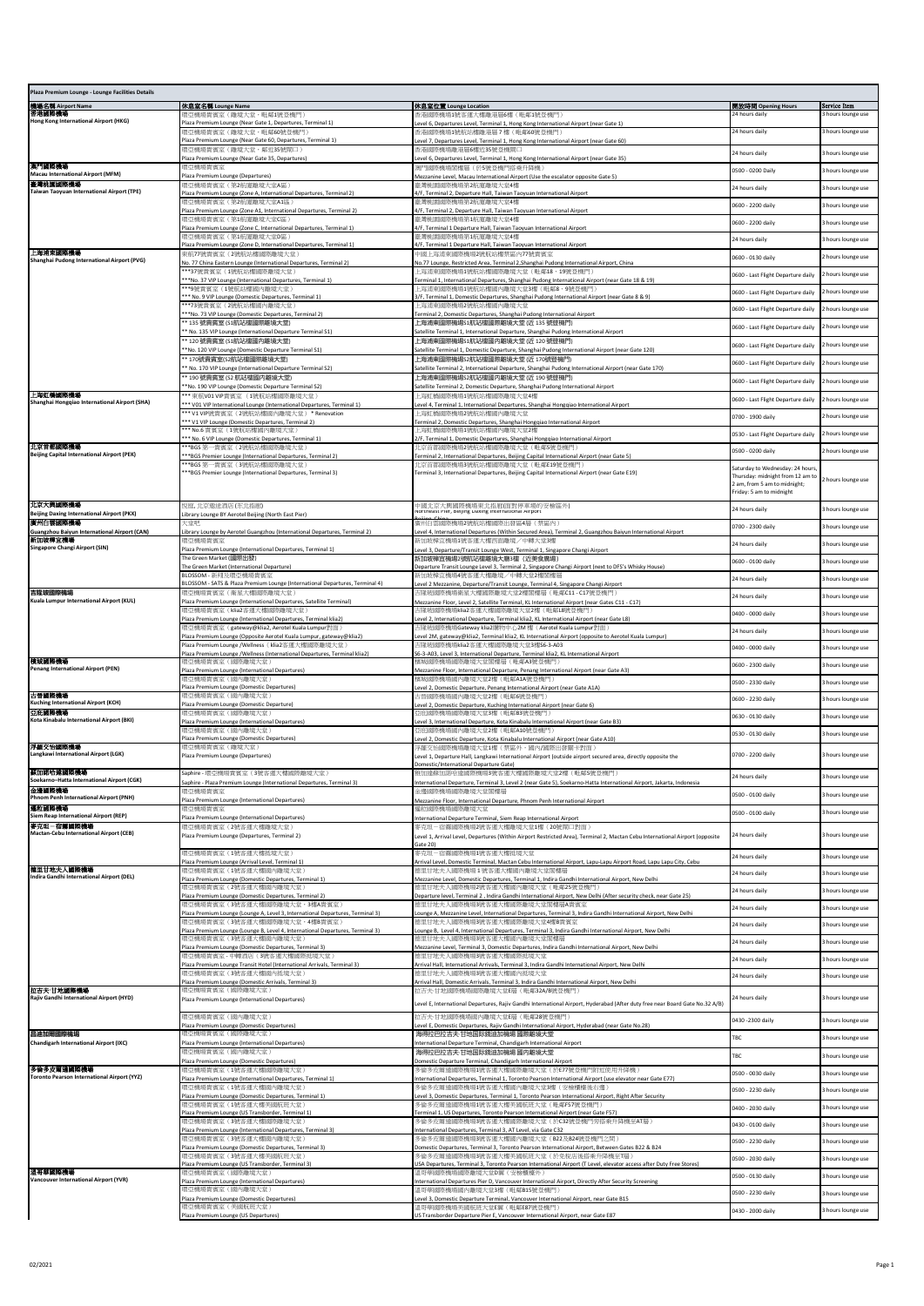| Plaza Premium Lounge - Lounge Facilities Details                 |                                                                                                                             |                                                                                                                                                                 |                                                                                                                                |                                  |
|------------------------------------------------------------------|-----------------------------------------------------------------------------------------------------------------------------|-----------------------------------------------------------------------------------------------------------------------------------------------------------------|--------------------------------------------------------------------------------------------------------------------------------|----------------------------------|
| 機場名稱 Airport Name                                                | 休息室名稱 Lounge Name<br>環亞機場貴賓室(離境大堂,毗鄰1號登機門)                                                                                  | 休息室位置 Lounge Location<br>香港國際機場1號客運大樓離港層6樓 (毗鄰1號登機門)                                                                                                            | 開放時間 Opening Hours<br>4 hours daily                                                                                            | Service Item<br>hours lounge use |
| Hong Kong International Airport (HKG)                            | Plaza Premium Lounge (Near Gate 1, Departures, Terminal 1)                                                                  | evel 6, Departures Level, Terminal 1, Hong Kong International Airport (near Gate 1)                                                                             |                                                                                                                                |                                  |
|                                                                  | 畏亞機場貴賓室(離境大堂,毗鄰60號登機門<br>Plaza Premium Lounge (Near Gate 60, Departures, Terminal 1)                                        | 香港國際機場1號航站樓離港層7樓(毗鄰60號登機門」<br>evel 7, Departures Level, Terminal 1, Hong Kong International Airport (near Gate 60)                                              | 24 hours daily                                                                                                                 | 3 hours lounge use               |
|                                                                  | 環亞機場貴賓室(離境大堂,鄰近35號閘口)<br>Plaza Premium Lounge (Near Gate 35, Departures)                                                    | 香港國際機場離港層6樓近35號登機閘口<br>Level 6, Departures Level, Terminal 1, Hong Kong International Airport (near Gate 35)                                                    | 24 hours daily                                                                                                                 | 3 hours lounge use               |
| 演門國際機場<br>Macau International Airport (MFM)                      | 環亞機場貴賓室                                                                                                                     | 澳門國際機場閣樓層 (於5號登機門搭乘升降機)                                                                                                                                         | 3500 - 0200 Daily                                                                                                              | hours lounge use                 |
| 臺灣桃園園際機場<br>Taiwan Taoyuan International Airport (TPE)           | Plaza Premium Lounge (Departures)<br>環亞機場貴賓室 ( 第2航廈離境大堂A區)                                                                  | Mezzanine Level, Macau International Airport (Use the escalator opposite Gate 5)<br>臺灣桃園國際機場第2航廈離境大堂4樓                                                          | 24 hours daily                                                                                                                 | 3 hours lounge use               |
|                                                                  | Plaza Premium Lounge (Zone A, International Departures, Terminal 2)<br>環亞機場貴賓室(第2航廈離境大堂A1區)                                 | I/F, Terminal 2, Departure Hall, Taiwan Taoyuan International Airport<br>臺灣桃園國際機場第2航廈離境大堂4棟                                                                     | 0600 - 2200 daily                                                                                                              | hours lounge use                 |
|                                                                  | Plaza Premium Lounge (Zone A1, International Departures, Terminal 2)<br>環亞機場貴賓室 (第1航廈離境大堂C區)                                | 4/F, Terminal 2, Departure Hall, Taiwan Taoyuan International Airport<br>臺灣桃園國際機場第1航廈離境大堂4樓                                                                     |                                                                                                                                |                                  |
|                                                                  | Plaza Premium Lounge (Zone C, International Departures, Terminal 1)                                                         | 1/F, Terminal 1 Departure Hall, Taiwan Taoyuan International Airport                                                                                            | 0600 - 2200 daily                                                                                                              | 3 hours lounge use               |
|                                                                  | 環亞機場貴賓室(第1航廈離境大堂D區)<br>laza Premium Lounge (Zone D, International Departures, Terminal 1)                                   | 臺灣桃園國際機場第1航廈離境大堂4樓<br>/F, Terminal 1 Departure Hall, Taiwan Taoyuan International Airport                                                                       | 24 hours daily                                                                                                                 | hours lounge use                 |
| 上海浦東國際機場<br>Shanghai Pudong International Airport (PVG)          | 束航77號貴賓室(2號航站樓國際離境大堂)<br>lo. 77 China Eastern Lounge (International Departures, Terminal 2)                                 | 中國上海浦東國際機場2號航站樓禁區內77號貴賓室<br>lo.77 Lounge, Restricted Area, Terminal 2,Shanghai Pudong International Airport, China                                              | 0600 - 0130 daily                                                                                                              | 2 hours lounge use               |
|                                                                  | **37號貴賓室(1號航站樓國際離境大堂)<br>**No. 37 VIP Lounge (International Departures, Terminal 1)                                         | 上海浦東國際機場1號航站樓國際離境大堂(毗鄰18、19號登機門)<br>Ferminal 1, International Departures, Shanghai Pudong International Airport (near Gate 18 & 19                              | 0600 - Last Flight Departure daily                                                                                             | 2 hours lounge use               |
|                                                                  | **9號貴賓室(1號航站樓國內離境大堂)                                                                                                        | 上海浦東國際機場1號航站樓國內離境大堂3樓(毗鄰8、9號登機門)                                                                                                                                | 0600 - Last Flight Departure daily                                                                                             | 2 hours lounge use               |
|                                                                  | ** No. 9 VIP Lounge (Domestic Departures, Terminal 1)<br>**73號貴賓室(2號航站樓國內離境大堂)                                              | [8] 8/F, Terminal 1, Domestic Departures, Shanghai Pudong International Airport (near Gate 8 & 9)<br>上海浦東國際機場2號航站樓國內離境大堂                                        | 0600 - Last Flight Departure daily                                                                                             | 2 hours lounge use               |
|                                                                  | **No. 73 VIP Lounge (Domestic Departures, Terminal 2)<br>* 135 號貴賓室 (S1航站樓國際離境大堂)                                           | 'erminal 2, Domestic Departures, Shanghai Pudong International Airport<br>上海浦東國際機場S1航站樓國際離境大堂 (近 135 號登機門)                                                      |                                                                                                                                |                                  |
|                                                                  | No. 135 VIP Lounge (International Departure Terminal S1)<br>* 120 號貴賓室 (S1航站樓國内離境大堂)                                        | Satellite Terminal 1, International Departure, Shanghai Pudong International Airport<br>上海浦東國際機場S1航站樓國内離境大堂 (近 120 號登機門)                                        | 0600 - Last Flight Departure daily                                                                                             | 2 hours lounge use               |
|                                                                  | *No. 120 VIP Lounge (Domestic Departure Terminal S1)                                                                        | Satellite Terminal 1, Domestic Departure, Shanghai Pudong International Airport (near Gate 120)                                                                 | 0600 - Last Flight Departure daily                                                                                             | 2 hours lounge use               |
|                                                                  | * 170號貴賓室(S2航站樓國際離境大堂)<br>No. 170 VIP Lounge (International Departure Terminal S2)                                          | 上海浦東國際機場S2航站樓國際離境大堂 (近 170號登機門)<br>Gatellite Terminal 2, International Departure, Shanghai Pudong International Airport (near Gate 170)                         | 0600 - Last Flight Departure daily                                                                                             | hours lounge use                 |
|                                                                  | * 190 號貴賓室 (S2 航站樓國内離境大堂)                                                                                                   | 上海浦東國際機場S2航站樓國内離境大堂 (近 190 號登機門)                                                                                                                                | 0600 - Last Flight Departure daily                                                                                             | 2 hours lounge use               |
| 上海虹橋園際機場                                                         | No. 190 VIP Lounge (Domestic Departure Terminal S2)<br>** 束航V01 VIP貴賓室 (1號航站樓國際離境大堂)                                        | Satellite Terminal 2, Domestic Departure, Shanghai Pudong International Airport<br>上海虹橋國際機場1號航站樓國際離境大堂4樓                                                        | 0600 - Last Flight Departure daily                                                                                             | 2 hours lounge use               |
| Shanghai Hongqiao International Airport (SHA)                    | ** V01 VIP International Lounge (International Departures, Terminal 1)<br>*** V1 VIP號貴賓室 (2號航站樓國內離境大堂) * Renovation         | evel 4, Terminal 1, International Departures, Shanghai Hongqiao International Airport<br>上海虹橋國際機場2號航站樓國內離境大堂                                                    | 0700 - 1900 daily                                                                                                              |                                  |
|                                                                  | ** V1 VIP Lounge (Domestic Departures, Terminal 2)<br>** No.6 貴賓室(1號航站樓國內離境大堂)                                              | erminal 2, Domestic Departures, Shanghai Hongqiao International Airport<br>上海虹橋國際機場1號航站樓國內離境大堂2棟                                                                |                                                                                                                                | hours lounge use                 |
| 北京首都国際機場                                                         | ** No. 6 VIP Lounge (Domestic Departures, Terminal 1)                                                                       | /F, Terminal 1, Domestic Departures, Shanghai Hongqiao International Airport<br>北京首都國際機場2號航站樓國際離境大堂 (毗鄰5號登機門)                                                   | 0530 - Last Flight Departure daily                                                                                             | 2 hours lounge use               |
| <b>Beijing Capital International Airport (PEK)</b>               | **BGS 第一貴賓室 (2號航站樓國際離境大堂)<br>** BGS Premier Lounge (International Departures, Terminal 2)                                   | [erminal 2, International Departures, Beijing Capital International Airport (near Gate 5)                                                                       | 0500 - 0200 daily                                                                                                              | 2 hours lounge use               |
|                                                                  | **BGS 第一貴賓室 (3號航站樓國際離境大堂)<br>** BGS Premier Lounge (International Departures, Terminal 3)                                   | 北京首都國際機場3號航站樓國際離境大堂 (毗鄰E19號登機門)<br>Ferminal 3, International Departures, Beijing Capital International Airport (near Gate E19)                                  | aturday to Wednesday: 24 hour:<br>Thursday: midnight from 12 am to<br>2 am, from 5 am to midnight;<br>Friday: 5 am to midnight | 2 hours lounge use               |
| 北京大興國際機場<br><b>Beijing Daxing International Airport (PKX)</b>    | 倪庭,北京遨途酒店(东北指廊)<br>ibrary Lounge BY Aerotel Beijing (North East Pier)                                                       | 中國北京大興國際機場東北指廊(面對停車場的安檢區外)<br>vortneast rier, seijing Daxing international Airport                                                                              | 24 hours daily                                                                                                                 | hours lounge use                 |
| 廣州白雲國際機場<br>Guangzhou Baiyun International Airport (CAN)         |                                                                                                                             | 黃州白雲國際機場2號航站樓國際出發區4層 (禁區內)<br>evel 4, International Departures (Within Secured Area), Terminal 2, Guangzhou Baiyun International Airpor                         | 0700 - 2300 daily                                                                                                              | 3 hours lounge use               |
| 新加坡样宜機場                                                          | ibrary Lounge by Aerotel Guangzhou (International Departures, Terminal 2<br>環亞機場貴賓室                                         | 新加坡樟宜機場1號客運大樓西面離境/中轉大堂3樓                                                                                                                                        | 24 hours daily                                                                                                                 | 3 hours lounge use               |
| <b>Singapore Changi Airport (SIN)</b>                            | Plaza Premium Lounge (International Departures, Terminal 1)<br>The Green Market (國際出發)                                      | Level 3, Departure/Transit Lounge West, Terminal 1, Singapore Changi Airpor<br>新加坡樟宜機場2號航站樓離境大廳3樓 (近美食廣場)                                                       | 0600 - 0100 daily                                                                                                              | 3 hours lounge use               |
|                                                                  | The Green Market (International Departure)<br>BLOSSOM - 新翔及環亞機場貴賓室                                                          | Departure Transit Lounge Level 3, Terminal 2, Singapore Changi Airport (next to DFS's Whisky House)<br>新加坡樟宜機場4號客運大樓離境/中轉大堂2樓閣樓層                                |                                                                                                                                |                                  |
| 吉隆玻國際機場                                                          | BLOSSOM - SATS & Plaza Premium Lounge (International Departures, Terminal 4)<br>環亞機場貴賓室(衛星大樓國際離境大堂)                         | evel 2 Mezzanine, Departure/Transit Lounge, Terminal 4, Singapore Changi Airport<br>吉隆玻國際機場衛星大樓國際離境大堂2樓閣樓層(毗鄰C11 - C17號登機門)                                     | 24 hours daily                                                                                                                 | 3 hours lounge use               |
| Kuala Lumpur International Airport (KUL)                         | Plaza Premium Lounge (International Departures, Satellite Terminal)                                                         | Mezzanine Floor, Level 2, Satellite Terminal, KL International Airport (near Gates C11 - C17)                                                                   | 24 hours daily                                                                                                                 | hours lounge use                 |
|                                                                  | 環亞機場貴賓室(klia2客運大樓國際離境大堂)<br>Plaza Premium Lounge (International Departures, Terminal klia2)                                 | 吉隆玻國際機場klia2客運大樓國際離境大堂2樓(毗鄰L8號登機門」<br>evel 2, International Departure, Terminal klia2, KL International Airport (near Gate L8)                                  | 0400 - 0000 daily                                                                                                              | 3 hours lounge use               |
|                                                                  | 環亞機場貴賓室(gateway@klia2, Aerotel Kuala Lumpur對面)<br>Plaza Premium Lounge (Opposite Aerotel Kuala Lumpur, gateway@klia2)       | 吉隆玻國際機場Gateway klia2購物中心2M 樓(Aerotel Kuala Lumpur對面)<br>evel 2M, gateway@klia2, Terminal klia2, KL International Airport (opposite to Aerotel Kuala Lumpur).    | 24 hours daily                                                                                                                 | hours lounge use                 |
|                                                                  | Plaza Premium Lounge /Wellness(klia2客運大樓國際離境大堂)<br>laza Premium Lounge /Wellness (International Departures, Terminal klia2) | 与隆玻國際機場klia2客運大樓國際離境大堂3樓S6-3-A03<br>66-3-A03, Level 3, International Departure, Terminal klia2, KL International Airpor                                         | 0400 - 0000 daily                                                                                                              | 3 hours lounge use               |
| 植坡国際機場<br>Penang International Airport (PEN)                     | 環亞機場貴賓室(國際離境大堂)                                                                                                             | 檳城國際機場國際離境大堂閣樓層 (毗鄰A3號登機門)                                                                                                                                      | 0600 - 2300 daily                                                                                                              | 3 hours lounge use               |
|                                                                  | Plaza Premium Lounge (International Departures)<br>環亞機場貴賓室(國內離境大堂)                                                          | Vezzanine Floor, International Departure, Penang International Airport (near Gate A3)<br>檳城國際機場國內離境大堂2樓(毗鄰A1A號登機門)                                              | 0500 - 2330 daily                                                                                                              | 3 hours lounge use               |
| 古晋國際機場                                                           | Plaza Premium Lounge (Domestic Departures)<br><b>袁亞機場貴賓室(國內離境大堂)</b>                                                        | evel 2, Domestic Departure, Penang International Airport (near Gate A1A)<br>古晉國際機場國內離境大堂2樓(毗鄰6號登機門)                                                             | 0600 - 2230 daily                                                                                                              | 3 hours lounge use               |
| <b>Kuching International Airport (KCH)</b><br>田原 (原則)            | Plaza Premium Lounge (Domestic Departure)<br>環亞機場貴賓室(國際離境大堂)                                                                | evel 2, Domestic Departure, Kuching International Airport (near Gate 6)<br>亞庇國際機場國際離境大堂3樓(毗鄰B3號登機門)                                                             |                                                                                                                                |                                  |
| Kota Kinabalu International Airport (BKI)                        | Plaza Premium Lounge (International Departures)                                                                             | evel 3, International Departure, Kota Kinabalu International Airport (near Gate B3)                                                                             | 0630 - 0130 daily                                                                                                              | 3 hours lounge use               |
|                                                                  | 環亞機場貴賓室(國内離境大堂)<br>laza Premium Lounge (Domestic Departures)                                                                | 亞庇國際機場國內離境大堂2樓 (毗鄰A10號登機門)<br>evel 2, Domestic Departure, Kota Kinabalu International Airport (near Gate A10).                                                  | 0530 - 0130 daily                                                                                                              | hours lounge use                 |
| 浮标交恰国際機場<br>Langkawi International Airport (LGK)                 | 毘機場貴賓室(離境大堂)<br>Plaza Premium Lounge (Departures)                                                                           | 孚羅交怡國際機場離境大堂1樓(禁區外,國內/國際出發關卡對面)<br>evel 1, Departure Hall, Langkawi International Airport (outside airport secured area, directly opposite the                  | 0700 - 2200 daily                                                                                                              | 3 hours lounge use               |
| 蘇加諾哈達國際機場                                                        | Saphire - 環亞機場貴賓室 (3號客運大樓國際離境大堂)                                                                                            | Domestic/International Departure Gate)<br>雅加達蘇加諾哈達國際機場3號客運大樓國際離境大堂2樓(毗鄰5號登機門)                                                                                   |                                                                                                                                |                                  |
| Soekarno-Hatta International Airport (CGK)                       | aphire - Plaza Premium Lounge (International Departures, Terminal 3)<br>環亞機場貴賓室                                             | nternational Denarture, Terminal 3, Level 2 (near Gate 5), Soekarno-Hatta International Airport, Jakarta, Indonesia<br>金邊國際機場國際離境大堂閣樓層                          | 24 hours daily                                                                                                                 | 3 hours lounge use               |
| 金邊國際機場<br>Phnom Penh International Airport (PNH)                 | Plaza Premium Lounge (International Departures)                                                                             | Mezzanine Floor, International Departure, Phnom Penh International Airport                                                                                      | 0500 - 0100 daily                                                                                                              | 3 hours lounge use               |
| 遍粒画際機場<br>Siem Reap International Airport (REP)                  | 環亞機場貴賓室<br>Plaza Premium Lounge (International Departures)                                                                  | 遍粒國際機場國際離境大堂<br>International Departure Terminal, Siem Reap International Airport                                                                               | 500 - 0100 daily                                                                                                               | hours lounge use                 |
| 李克坦-宿霧國際機場<br>Mactan-Cebu International Airport (CEB)            | 環亞機場貴賓室(2號客運大樓離境大堂)<br>Plaza Premium Lounge (Departures, Terminal 2)                                                        | 麥克坦-宿霧國際機場2號客運大樓離境大堂1樓(20號閘口對面)<br>Level 1, Arrival Level, Departures (Within Airport Restricted Area), Terminal 2, Mactan Cebu International Airport (opposite | 24 hours daily                                                                                                                 | 3 hours lounge use               |
|                                                                  | 環亞機場貴賓室(1號客運大樓抵境大堂)                                                                                                         | Sate 20)<br>麥克坦-宿霧國際機場1號客運大樓抵境大堂                                                                                                                                | 24 hours daily                                                                                                                 |                                  |
| <b>傅里甘地夫人 【原德事</b> 】                                             | Plaza Premium Lounge (Arrival Level, Terminal 1)<br>環亞機場貴賓室 (1號客運大樓國內離境大堂)                                                  | Arrival Level, Domestic Terminal, Mactan Cebu International Airport, Lapu-Lapu Airport Road, Lapu Lapu City, Cebu<br>德里甘地夫人國際機場1號客運大樓國內離境大堂閣樓層                  |                                                                                                                                | 3 hours lounge use               |
| Indira Gandhi International Airport (DEL)                        | Plaza Premium Lounge (Domestic Departures, Terminal 1)                                                                      | Mezzanine Level, Domestic Departures, Terminal 1, Indira Gandhi International Airport, New Delhi<br><sup>德里甘地</sup> 夫人國際機場2號客運大樓國內離境大堂(毗鄰25號登機門)                | 24 hours daily                                                                                                                 | 3 hours lounge use               |
|                                                                  | 環亞機場貴賓室(2號客運大樓國內離境大堂)<br>laza Premium Lounge (Domestic Departures, Terminal 2)                                              | ) eparture level, Terminal 2, Indira Gandhi International Airport, New Delhi (After security check, near Gate 25                                                | 24 hours daily                                                                                                                 | 3 hours lounge use               |
|                                                                  | 環亞機場貴賓室(3號客運大樓國際離境大堂,3樓A貴賓室)<br>Plaza Premium Lounge (Lounge A, Level 3, International Departures, Terminal 3)              | 德里甘地夫人國際機場3號客運大樓國際離境大堂閣樓層A貴賓室<br>ounge A, Mezzanine Level, International Departures, Terminal 3, Indira Gandhi International Airport, New Delhi                 | 24 hours daily                                                                                                                 | 3 hours lounge use               |
|                                                                  | 環亞機場貴賓室 (3號客運大樓國際離境大堂,4樓B貴賓室)<br>Plaza Premium Lounge (Lounge B, Level 4, International Departures, Terminal 3)             | 德里甘地夫人國際機場3號客運大樓國際離境大堂4樓B貴賓室<br>ounge B, Level 4, International Departures, Terminal 3, Indira Gandhi International Airport, New Delhi.                         | 24 hours daily                                                                                                                 | 3 hours lounge use               |
|                                                                  | 環亞機場貴賓室(3號客運大樓國內離境大堂)<br>Plaza Premium Lounge (Domestic Departures, Terminal 3                                              | 德里甘地夫人國際機場3號客運大樓國內離境大堂閣樓層<br>Mezzanine Level, Terminal 3, Domestic Departures, Indira Gandhi International Airport, New Delhi                                   | 24 hours daily                                                                                                                 | 3 hours lounge use               |
|                                                                  | 環亞機場貴賓室 - 中轉酒店 (3號客運大樓國際抵境大堂)                                                                                               | 德里甘地夫人國際機場3號客運大樓國際抵境大堂                                                                                                                                          | 24 hours daily                                                                                                                 | 3 hours lounge use               |
|                                                                  | Plaza Premium Lounge Transit Hotel (International Arrivals, Terminal 3)<br>環亞機場貴賓室 (3號客運大樓國內抵境大堂)                           | Arrival Hall, International Arrivals, Terminal 3, Indira Gandhi International Airport, New Delhi<br>德里甘地夫人國際機場3號客運大樓國內抵境大堂                                      | 24 hours daily                                                                                                                 | 3 hours lounge use               |
| 拉吉夫甘地國際機場                                                        | Plaza Premium Lounge (Domestic Arrivals, Terminal 3)<br>環亞機場貴賓室(國際離境大堂)                                                     | Arrival Hall, Domestic Arrivals, Terminal 3, Indira Gandhi International Airport, New Delhi<br>拉吉夫·甘地國際機場國際離境大堂E層(毗鄰32A/B號登機門)                                  |                                                                                                                                |                                  |
| Rajiv Gandhi International Airport (HYD)                         | Plaza Premium Lounge (International Departures)                                                                             | Level E, International Departures, Rajiv Gandhi International Airport, Hyderabad (After duty free near Board Gate No.32 A/B)                                    | 4 hours daily                                                                                                                  | hours lounge use                 |
|                                                                  | 環亞機場貴賓室(國內離境大堂)<br>Plaza Premium Lounge (Domestic Departures)                                                               | 拉吉夫·甘地國際機場國內離境大堂E層 (毗鄰28號登機門)<br>evel E, Domestic Departures, Rajiv Gandhi International Airport, Hyderabad (near Gate No.28)                                   | 0430 - 2300 daily                                                                                                              | 3 hours lounge use               |
| 昌迪加爾國際機場<br><b>Chandigarh International Airport (IXC)</b>        | 環亞機場貴賓室(國際離境大堂)<br>Plaza Premium Lounge (International Departures)                                                          | 海得拉巴拉吉夫·甘地国际錢迪加機場 國際離境大堂<br>nternational Departure Terminal, Chandigarh International Airport                                                                   | TBC                                                                                                                            | 3 hours lounge use               |
|                                                                  | 環亞機場貴賓室(國內離境大堂)                                                                                                             | 海得拉巴拉吉夫·甘地国际錢迪加機場 國内離境大堂                                                                                                                                        | TBC                                                                                                                            | 3 hours lounge use               |
| 多倫多皮爾遜國際機場<br><b>Toronto Pearson International Airport (YYZ)</b> | Plaza Premium Lounge (Domestic Departures)<br>環亞機場貴賓室(1號客運大樓國際離境大堂)                                                         | Domestic Departure Terminal, Chandigarh International Airport<br>多倫多皮爾遜國際機場1號客運大樓國際離境大堂(於E77號登機門附近使用升降機)                                                        | 0500 - 0030 daily                                                                                                              | 3 hours lounge use               |
|                                                                  | Plaza Premium Lounge (International Departures, Terminal 1)<br>畏亞機場貴賓室(1號客運大樓國內離境大堂)                                        | International Departures, Terminal 1, Toronto Pearson International Airport (use elevator near Gate E77)<br>多倫多皮爾遜國際機場1號客運大樓國內離境大堂3樓(安檢櫃檯後右邊)                   |                                                                                                                                |                                  |
|                                                                  | laza Premium Lounge (Domestic Departures, Terminal 1)                                                                       | evel 3, Domestic Departures, Terminal 1, Toronto Pearson International Airport, Right After Securit                                                             | 0500 - 2230 daily                                                                                                              | 3 hours lounge use               |
|                                                                  | 環亞機場貴賓室(1號客運大樓美國航班大堂)<br>Plaza Premium Lounge (US Transborder, Terminal 1)                                                  | 多倫多皮爾遜國際機場1號客運大樓美國航班大堂(毗鄰F57號登機門)<br>[erminal 1, US Departures, Toronto Pearson International Airport (near Gate F57)                                           | 0400 - 2030 daily                                                                                                              | 3 hours lounge use               |
|                                                                  | 環亞機場貴賓室 (3號客運大樓國際離境大堂)<br>Plaza Premium Lounge (International Departures, Terminal 3)                                       | 多倫多皮爾遜國際機場3號客運大樓國際離境大堂(於C32號登機門旁搭乘升降機至AT層)<br>nternational Departures, Terminal 3, AT Level, via Gate C32                                                       | 0430 - 0100 daily                                                                                                              | 3 hours lounge use               |
|                                                                  | 環亞機場貴賓室(3號客運大樓國內離境大堂)<br>laza Premium Lounge (Domestic Departures, Terminal 3)                                              | 多倫多皮爾遜國際機場3號客運大樓國內離境大堂 (B22及B24號登機門之間)<br>Omestic Departures, Terminal 3, Toronto Pearson International Airport, Between Gates B22 & B24                        | 0500 - 2230 daily                                                                                                              | 3 hours lounge use               |
|                                                                  | 環亞機場貴賓室(3號客運大樓美國航班大堂<br>Plaza Premium Lounge (US Transborder, Terminal 3)                                                   | 多倫多皮爾遜國際機場3號客運大樓美國航班大堂(於免稅店後搭乘升降機至T層」<br>USA Departures, Terminal 3, Toronto Pearson International Airport (T Level, elevator access after Duty Free Stores)    | 0500 - 2030 daily                                                                                                              | 3 hours lounge use               |
| 這哥寧國際機場<br>Vancouver International Airport (YVR)                 | 環亞機場貴賓室(國際離境大堂)                                                                                                             | 温哥華國際機場國際離境大堂D翼(安檢櫃檯外)                                                                                                                                          | 0500 - 0130 daily                                                                                                              | 3 hours lounge use               |
|                                                                  | Plaza Premium Lounge (International Departures)<br>環亞機場貴賓室(國內離境大堂)                                                          | International Departures Pier D, Vancouver International Airport, Directly After Security Screening<br>温哥華國際機場國內離境大堂3樓(毗鄰B15號登機門)                               | 0500 - 2230 daily                                                                                                              | 3 hours lounge use               |
|                                                                  | Plaza Premium Lounge (Domestic Departures)<br>環亞機場貴賓室(美國航班大堂)                                                               | evel 3, Domestic Departure Terminal, Vancouver International Airport, near Gate B15<br>温哥華國際機場美國航班大堂E翼(毗鄰E87號登機門)                                               | 0430 - 2000 daily                                                                                                              | 3 hours lounge use               |
|                                                                  | Plaza Premium Lounge (US Departures)                                                                                        | JS Transborder Departure Pier E, Vancouver International Airport, near Gate E87                                                                                 |                                                                                                                                |                                  |